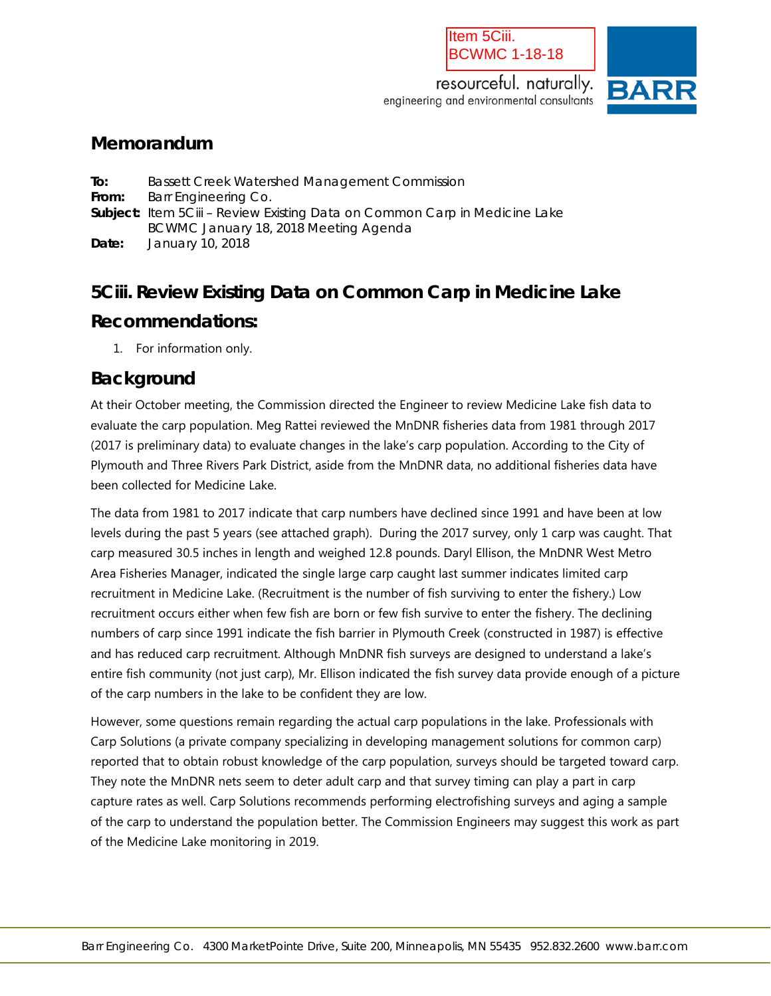#### Item 5Ciii. BCWMC 1-18-18

resourceful. naturally. engineering and environmental consultants



### **Memorandum**

**To:** Bassett Creek Watershed Management Commission From: Barr Engineering Co. **Subject:** Item 5Ciii – Review Existing Data on Common Carp in Medicine Lake BCWMC January 18, 2018 Meeting Agenda **Date:** January 10, 2018

# **5Ciii. Review Existing Data on Common Carp in Medicine Lake**

## **Recommendations:**

1. For information only.

## **Background**

At their October meeting, the Commission directed the Engineer to review Medicine Lake fish data to evaluate the carp population. Meg Rattei reviewed the MnDNR fisheries data from 1981 through 2017 (2017 is preliminary data) to evaluate changes in the lake's carp population. According to the City of Plymouth and Three Rivers Park District, aside from the MnDNR data, no additional fisheries data have been collected for Medicine Lake.

The data from 1981 to 2017 indicate that carp numbers have declined since 1991 and have been at low levels during the past 5 years (see attached graph). During the 2017 survey, only 1 carp was caught. That carp measured 30.5 inches in length and weighed 12.8 pounds. Daryl Ellison, the MnDNR West Metro Area Fisheries Manager, indicated the single large carp caught last summer indicates limited carp recruitment in Medicine Lake. (Recruitment is the number of fish surviving to enter the fishery.) Low recruitment occurs either when few fish are born or few fish survive to enter the fishery. The declining numbers of carp since 1991 indicate the fish barrier in Plymouth Creek (constructed in 1987) is effective and has reduced carp recruitment. Although MnDNR fish surveys are designed to understand a lake's entire fish community (not just carp), Mr. Ellison indicated the fish survey data provide enough of a picture of the carp numbers in the lake to be confident they are low.

However, some questions remain regarding the actual carp populations in the lake. Professionals with Carp Solutions (a private company specializing in developing management solutions for common carp) reported that to obtain robust knowledge of the carp population, surveys should be targeted toward carp. They note the MnDNR nets seem to deter adult carp and that survey timing can play a part in carp capture rates as well. Carp Solutions recommends performing electrofishing surveys and aging a sample of the carp to understand the population better. The Commission Engineers may suggest this work as part of the Medicine Lake monitoring in 2019.